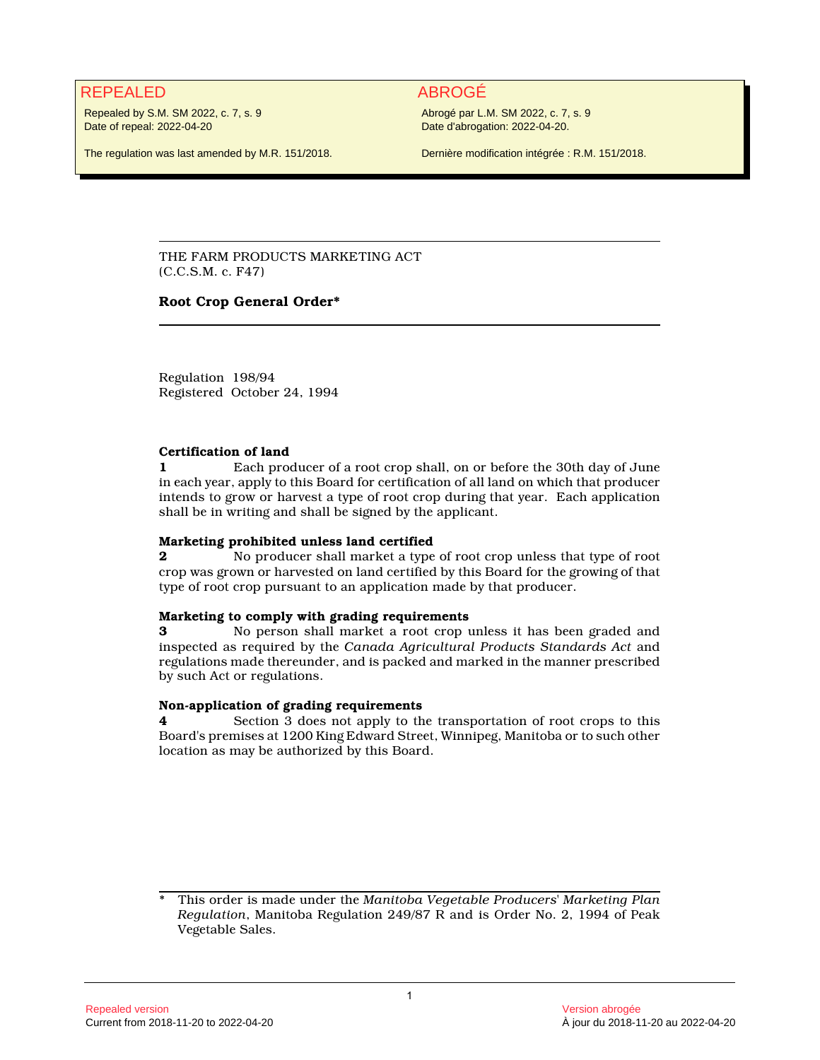# REPEALED ABROGÉ

Repealed by S.M. SM 2022, c. 7, s. 9 Date of repeal: 2022-04-20

Abrogé par L.M. SM 2022, c. 7, s. 9 Date d'abrogation: 2022-04-20.

The regulation was last amended by M.R. 151/2018.

Dernière modification intégrée : R.M. 151/2018.

THE FARM PRODUCTS MARKETING ACT (C.C.S.M. c. F47)

# **Root Crop General Order\***

Regulation 198/94 Registered October 24, 1994

### **Certification of land**

**1** Each producer of a root crop shall, on or before the 30th day of June in each year, apply to this Board for certification of all land on which that producer intends to grow or harvest a type of root crop during that year. Each application shall be in writing and shall be signed by the applicant.

# **Marketing prohibited unless land certified**

**2** No producer shall market a type of root crop unless that type of root crop was grown or harvested on land certified by this Board for the growing of that type of root crop pursuant to an application made by that producer.

# **Marketing to comply with grading requirements**

**3** No person shall market a root crop unless it has been graded and inspected as required by the *Canada Agricultural Products Standards Act* and regulations made thereunder, and is packed and marked in the manner prescribed by such Act or regulations.

# **Non-application of grading requirements**

**4** Section 3 does not apply to the transportation of root crops to this Board's premises at 1200 King Edward Street, Winnipeg, Manitoba or to such other location as may be authorized by this Board.

<sup>\*</sup> This order is made under the *Manitoba Vegetable Producers' Marketing Plan Regulation*, Manitoba Regulation 249/87 R and is Order No. 2, 1994 of Peak Vegetable Sales.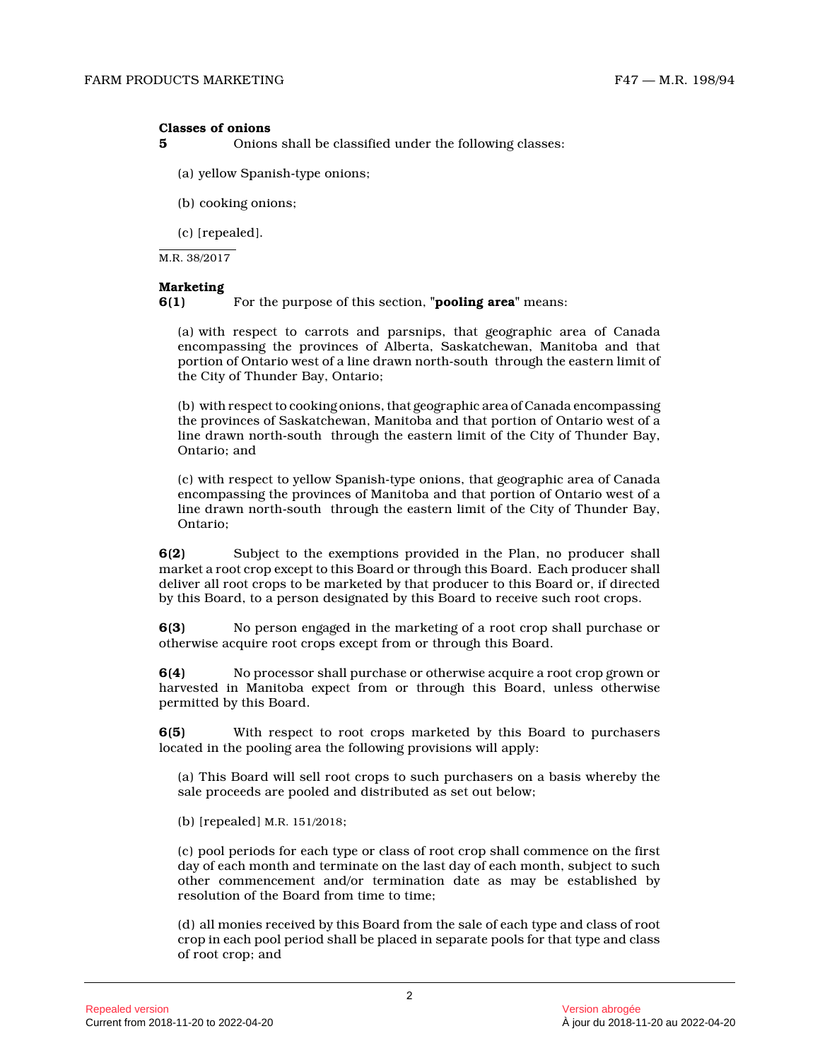#### **Classes of onions**

**5** Onions shall be classified under the following classes:

(a) yellow Spanish-type onions;

(b) cooking onions;

(c) [repealed].

M.R. 38/2017

#### **Marketing**

**6(1)** For the purpose of this section, **"pooling area"** means:

(a) with respect to carrots and parsnips, that geographic area of Canada encompassing the provinces of Alberta, Saskatchewan, Manitoba and that portion of Ontario west of a line drawn north-south through the eastern limit of the City of Thunder Bay, Ontario;

(b) with respect to cooking onions, that geographic area of Canada encompassing the provinces of Saskatchewan, Manitoba and that portion of Ontario west of a line drawn north-south through the eastern limit of the City of Thunder Bay, Ontario; and

(c) with respect to yellow Spanish-type onions, that geographic area of Canada encompassing the provinces of Manitoba and that portion of Ontario west of a line drawn north-south through the eastern limit of the City of Thunder Bay, Ontario;

**6(2)** Subject to the exemptions provided in the Plan, no producer shall market a root crop except to this Board or through this Board. Each producer shall deliver all root crops to be marketed by that producer to this Board or, if directed by this Board, to a person designated by this Board to receive such root crops.

**6(3)** No person engaged in the marketing of a root crop shall purchase or otherwise acquire root crops except from or through this Board.

**6(4)** No processor shall purchase or otherwise acquire a root crop grown or harvested in Manitoba expect from or through this Board, unless otherwise permitted by this Board.

**6(5)** With respect to root crops marketed by this Board to purchasers located in the pooling area the following provisions will apply:

(a) This Board will sell root crops to such purchasers on a basis whereby the sale proceeds are pooled and distributed as set out below;

(b) [repealed] M.R. 151/2018 ;

(c) pool periods for each type or class of root crop shall commence on the first day of each month and terminate on the last day of each month, subject to such other commencement and/or termination date as may be established by resolution of the Board from time to time;

(d) all monies received by this Board from the sale of each type and class of root crop in each pool period shall be placed in separate pools for that type and class of root crop; and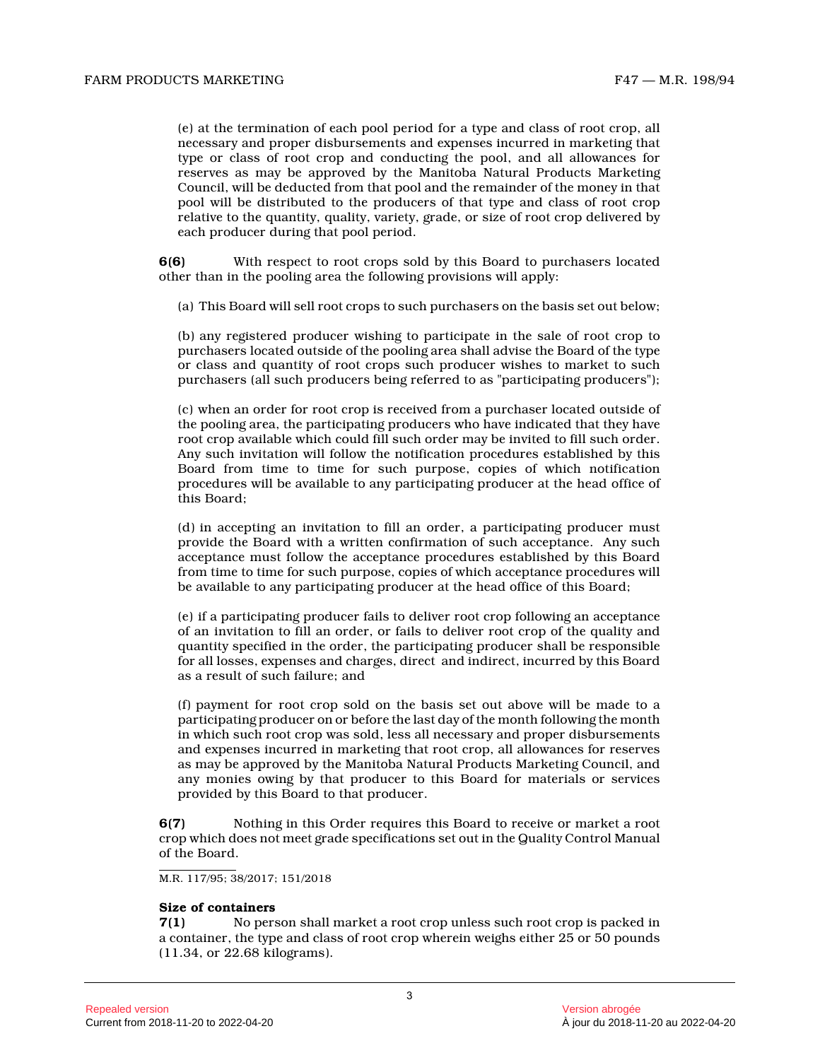(e) at the termination of each pool period for a type and class of root crop, all necessary and proper disbursements and expenses incurred in marketing that type or class of root crop and conducting the pool, and all allowances for reserves as may be approved by the Manitoba Natural Products Marketing Council, will be deducted from that pool and the remainder of the money in that pool will be distributed to the producers of that type and class of root crop relative to the quantity, quality, variety, grade, or size of root crop delivered by each producer during that pool period.

**6(6)** With respect to root crops sold by this Board to purchasers located other than in the pooling area the following provisions will apply:

(a) This Board will sell root crops to such purchasers on the basis set out below;

(b) any registered producer wishing to participate in the sale of root crop to purchasers located outside of the pooling area shall advise the Board of the type or class and quantity of root crops such producer wishes to market to such purchasers (all such producers being referred to as "participating producers");

(c) when an order for root crop is received from a purchaser located outside of the pooling area, the participating producers who have indicated that they have root crop available which could fill such order may be invited to fill such order. Any such invitation will follow the notification procedures established by this Board from time to time for such purpose, copies of which notification procedures will be available to any participating producer at the head office of this Board;

(d) in accepting an invitation to fill an order, a participating producer must provide the Board with a written confirmation of such acceptance. Any such acceptance must follow the acceptance procedures established by this Board from time to time for such purpose, copies of which acceptance procedures will be available to any participating producer at the head office of this Board;

(e) if a participating producer fails to deliver root crop following an acceptance of an invitation to fill an order, or fails to deliver root crop of the quality and quantity specified in the order, the participating producer shall be responsible for all losses, expenses and charges, direct and indirect, incurred by this Board as a result of such failure; and

(f) payment for root crop sold on the basis set out above will be made to a participating producer on or before the last day of the month following the month in which such root crop was sold, less all necessary and proper disbursements and expenses incurred in marketing that root crop, all allowances for reserves as may be approved by the Manitoba Natural Products Marketing Council, and any monies owing by that producer to this Board for materials or services provided by this Board to that producer.

**6(7)** Nothing in this Order requires this Board to receive or market a root crop which does not meet grade specifications set out in the Quality Control Manual of the Board.

M.R. 117/95; 38/2017; 151/2018

#### **Size of containers**

**7(1)** No person shall market a root crop unless such root crop is packed in a container, the type and class of root crop wherein weighs either 25 or 50 pounds (11.34, or 22.68 kilograms).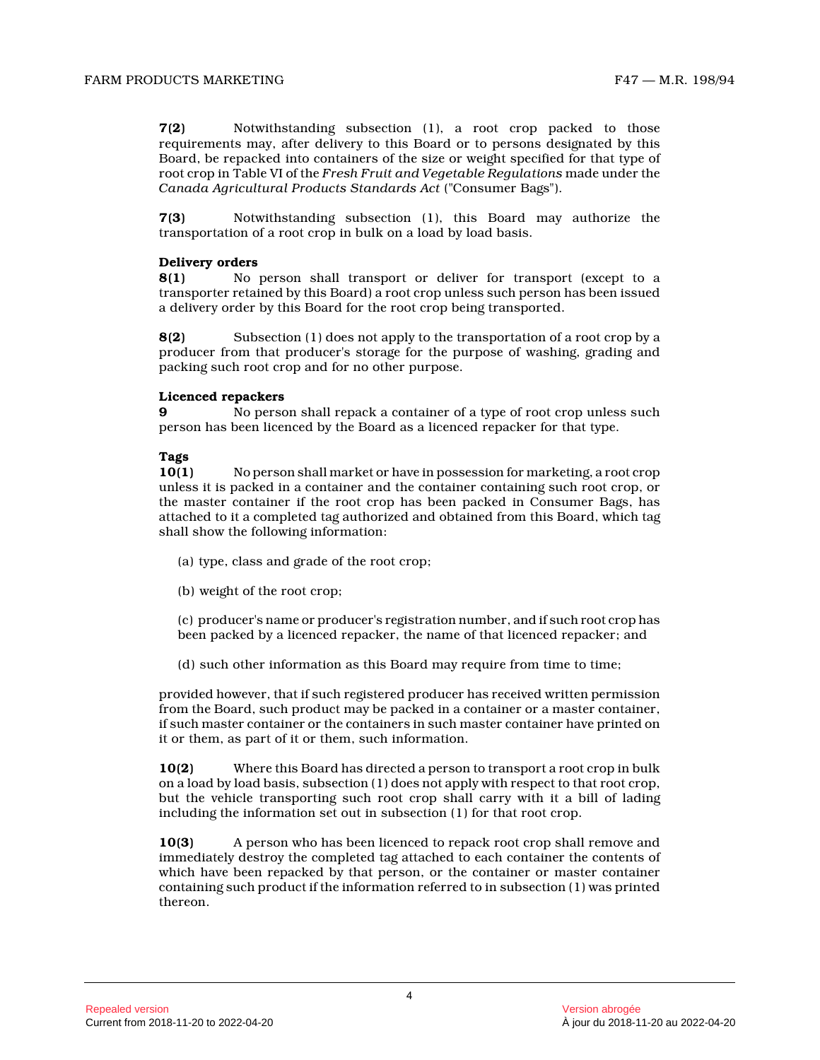**7(2)** Notwithstanding subsection (1), a root crop packed to those requirements may, after delivery to this Board or to persons designated by this Board, be repacked into containers of the size or weight specified for that type of root crop in Table VI of the *Fresh Fruit and Vegetable Regulations* made under the *Canada Agricultural Products Standards Act* ("Consumer Bags").

**7(3)** Notwithstanding subsection (1), this Board may authorize the transportation of a root crop in bulk on a load by load basis.

### **Delivery orders**

**8(1)** No person shall transport or deliver for transport (except to a transporter retained by this Board) a root crop unless such person has been issued a delivery order by this Board for the root crop being transported.

**8(2)** Subsection (1) does not apply to the transportation of a root crop by a producer from that producer's storage for the purpose of washing, grading and packing such root crop and for no other purpose.

### **Licenced repackers**

**9** No person shall repack a container of a type of root crop unless such person has been licenced by the Board as a licenced repacker for that type.

### **Tags**

**10(1)** No person shall market or have in possession for marketing, a root crop unless it is packed in a container and the container containing such root crop, or the master container if the root crop has been packed in Consumer Bags, has attached to it a completed tag authorized and obtained from this Board, which tag shall show the following information:

- (a) type, class and grade of the root crop;
- (b) weight of the root crop;

(c) producer's name or producer's registration number, and if such root crop has been packed by a licenced repacker, the name of that licenced repacker; and

(d) such other information as this Board may require from time to time;

provided however, that if such registered producer has received written permission from the Board, such product may be packed in a container or a master container, if such master container or the containers in such master container have printed on it or them, as part of it or them, such information .

**10(2)** Where this Board has directed a person to transport a root crop in bulk on a load by load basis, subsection (1) does not apply with respect to that root crop, but the vehicle transporting such root crop shall carry with it a bill of lading including the information set out in subsection (1) for that root crop.

**10(3)** A person who has been licenced to repack root crop shall remove and immediately destroy the completed tag attached to each container the contents of which have been repacked by that person, or the container or master container containing such product if the information referred to in subsection (1) was printed thereon.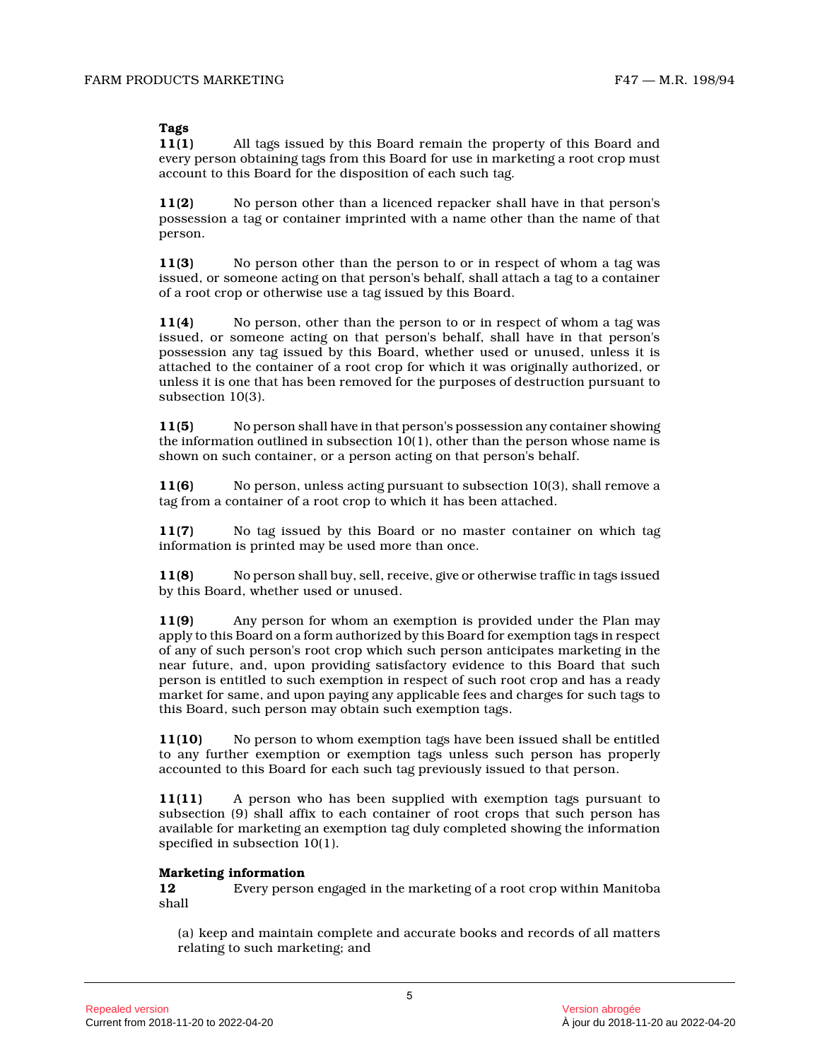# **Tags**

**11(1)** All tags issued by this Board remain the property of this Board and every person obtaining tags from this Board for use in marketing a root crop must account to this Board for the disposition of each such tag.

**11(2)** No person other than a licenced repacker shall have in that person's possession a tag or container imprinted with a name other than the name of that person.

**11(3)** No person other than the person to or in respect of whom a tag was issued, or someone acting on that person's behalf, shall attach a tag to a container of a root crop or otherwise use a tag issued by this Board.

**11(4)** No person, other than the person to or in respect of whom a tag was issued, or someone acting on that person's behalf, shall have in that person's possession any tag issued by this Board, whether used or unused, unless it is attached to the container of a root crop for which it was originally authorized, or unless it is one that has been removed for the purposes of destruction pursuant to subsection 10(3).

**11(5)** No person shall have in that person's possession any container showing the information outlined in subsection  $10(1)$ , other than the person whose name is shown on such container, or a person acting on that person's behalf.

**11(6)** No person, unless acting pursuant to subsection 10(3), shall remove a tag from a container of a root crop to which it has been attached.

**11(7)** No tag issued by this Board or no master container on which tag information is printed may be used more than once.

**11(8)** No person shall buy, sell, receive, give or otherwise traffic in tags issued by this Board, whether used or unused.

**11(9)** Any person for whom an exemption is provided under the Plan may apply to this Board on a form authorized by this Board for exemption tags in respect of any of such person's root crop which such person anticipates marketing in the near future, and, upon providing satisfactory evidence to this Board that such person is entitled to such exemption in respect of such root crop and has a ready market for same, and upon paying any applicable fees and charges for such tags to this Board, such person may obtain such exemption tags.

**11(10)** No person to whom exemption tags have been issued shall be entitled to any further exemption or exemption tags unless such person has properly accounted to this Board for each such tag previously issued to that person.

**11(11)** A person who has been supplied with exemption tags pursuant to subsection (9) shall affix to each container of root crops that such person has available for marketing an exemption tag duly completed showing the information specified in subsection 10(1).

# **Marketing information**

**12** Every person engaged in the marketing of a root crop within Manitoba shall

(a) keep and maintain complete and accurate books and records of all matters relating to such marketing; and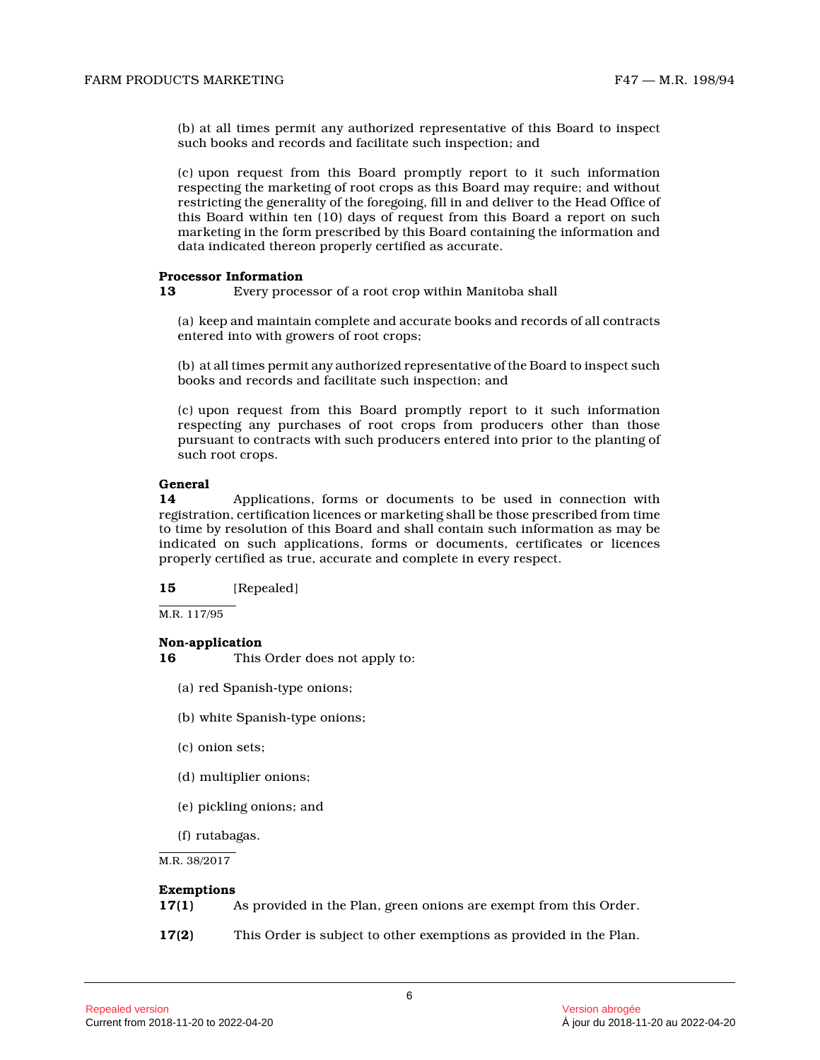(b) at all times permit any authorized representative of this Board to inspect such books and records and facilitate such inspection; and

(c) upon request from this Board promptly report to it such information respecting the marketing of root crops as this Board may require; and without restricting the generality of the foregoing, fill in and deliver to the Head Office of this Board within ten (10) days of request from this Board a report on such marketing in the form prescribed by this Board containing the information and data indicated thereon properly certified as accurate.

#### **Processor Information**

**13** Every processor of a root crop within Manitoba shal l

(a) keep and maintain complete and accurate books and records of all contracts entered into with growers of root crops;

(b) at all times permit any authorized representative of the Board to inspect such books and records and facilitate such inspection; and

(c) upon request from this Board promptly report to it such information respecting any purchases of root crops from producers other than those pursuant to contracts with such producers entered into prior to the planting of such root crops.

#### **General**

**14** Applications, forms or documents to be used in connection with registration, certification licences or marketing shall be those prescribed from time to time by resolution of this Board and shall contain such information as may be indicated on such applications, forms or documents, certificates or licences properly certified as true, accurate and complete in every respect.

**15** [Repealed]

M.R. 117/95

# **Non-application**

**16** This Order does not apply to:

- (a) red Spanish-type onions;
- (b) white Spanish-type onions;
- (c) onion sets;
- (d) multiplier onions;
- (e) pickling onions; and
- (f) rutabagas.

M.R. 38/2017

#### **Exemptions**

- **17(1)** As provided in the Plan, green onions are exempt from this Order.
- **17(2)** This Order is subject to other exemptions as provided in the Plan.